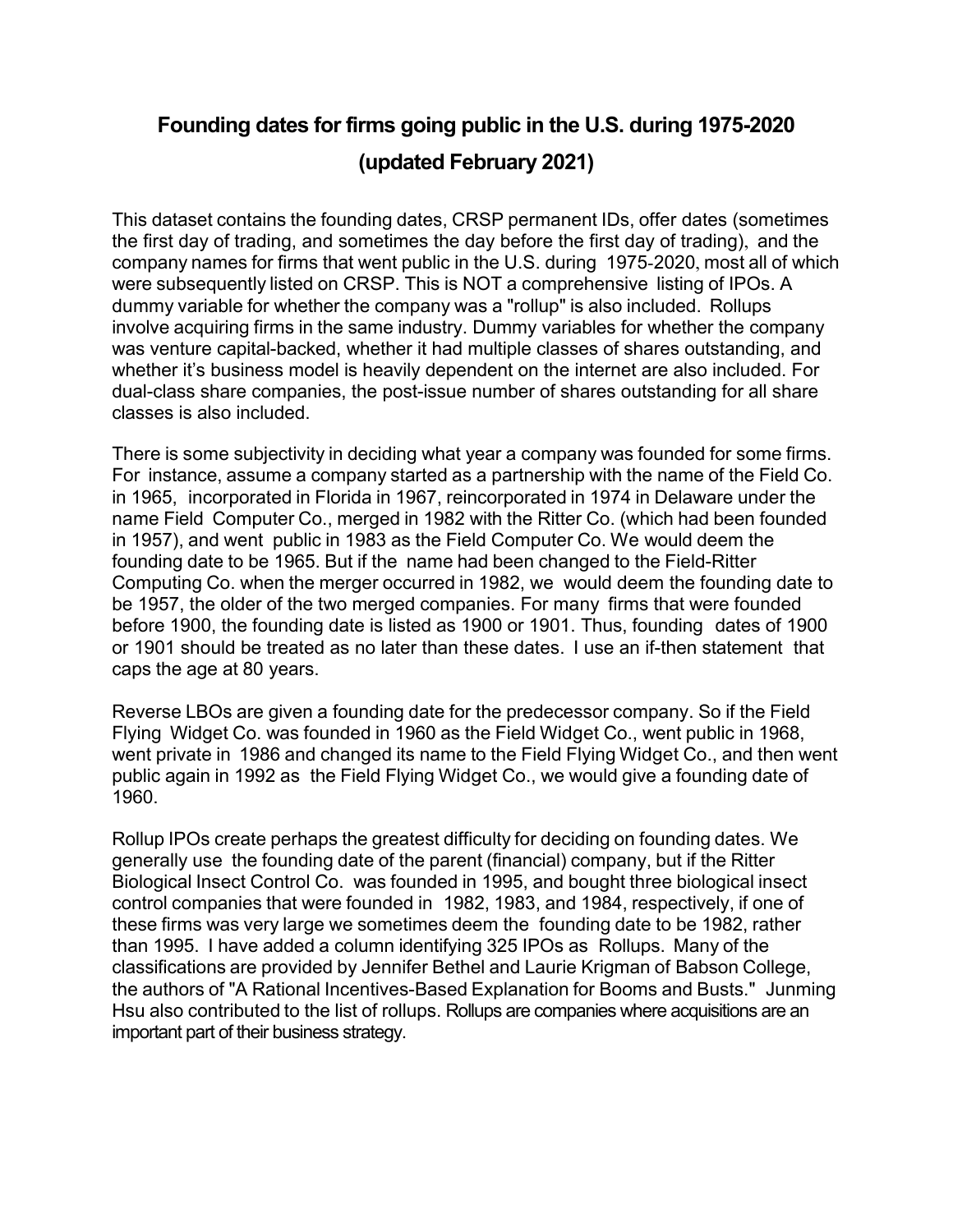## **Founding dates for firms going public in the U.S. during 1975-2020 (updated February 2021)**

This dataset contains the founding dates, CRSP permanent IDs, offer dates (sometimes the first day of trading, and sometimes the day before the first day of trading), and the company names for firms that went public in the U.S. during 1975-2020, most all of which were subsequently listed on CRSP. This is NOT a comprehensive listing of IPOs. A dummy variable for whether the company was a "rollup" is also included. Rollups involve acquiring firms in the same industry. Dummy variables for whether the company was venture capital-backed, whether it had multiple classes of shares outstanding, and whether it's business model is heavily dependent on the internet are also included. For dual-class share companies, the post-issue number of shares outstanding for all share classes is also included.

There is some subjectivity in deciding what year a company was founded for some firms. For instance, assume a company started as a partnership with the name of the Field Co. in 1965, incorporated in Florida in 1967, reincorporated in 1974 in Delaware under the name Field Computer Co., merged in 1982 with the Ritter Co. (which had been founded in 1957), and went public in 1983 as the Field Computer Co. We would deem the founding date to be 1965. But if the name had been changed to the Field-Ritter Computing Co. when the merger occurred in 1982, we would deem the founding date to be 1957, the older of the two merged companies. For many firms that were founded before 1900, the founding date is listed as 1900 or 1901. Thus, founding dates of 1900 or 1901 should be treated as no later than these dates. I use an if-then statement that caps the age at 80 years.

Reverse LBOs are given a founding date for the predecessor company. So if the Field Flying Widget Co. was founded in 1960 as the Field Widget Co., went public in 1968, went private in 1986 and changed its name to the Field Flying Widget Co., and then went public again in 1992 as the Field Flying Widget Co., we would give a founding date of 1960.

Rollup IPOs create perhaps the greatest difficulty for deciding on founding dates. We generally use the founding date of the parent (financial) company, but if the Ritter Biological Insect Control Co. was founded in 1995, and bought three biological insect control companies that were founded in 1982, 1983, and 1984, respectively, if one of these firms was very large we sometimes deem the founding date to be 1982, rather than 1995. I have added a column identifying 325 IPOs as Rollups. Many of the classifications are provided by Jennifer Bethel and Laurie Krigman of Babson College, the authors of "A Rational Incentives-Based Explanation for Booms and Busts." Junming Hsu also contributed to the list of rollups. Rollups are companies where acquisitions are an important part of their business strategy.